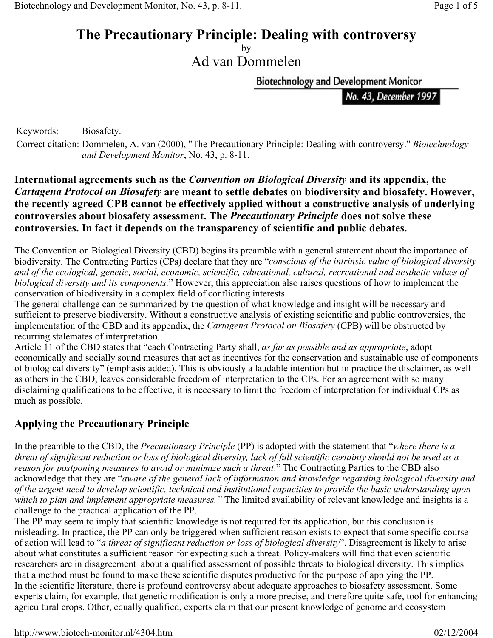# **The Precautionary Principle: Dealing with controversy**

by Ad van Dommelen

**Biotechnology and Development Monitor** 

No. 43, December 1997

Keywords: Biosafety.

Correct citation: Dommelen, A. van (2000), "The Precautionary Principle: Dealing with controversy." *Biotechnology and Development Monitor*, No. 43, p. 8-11.

#### **International agreements such as the** *Convention on Biological Diversity* **and its appendix, the**  *Cartagena Protocol on Biosafety* **are meant to settle debates on biodiversity and biosafety. However, the recently agreed CPB cannot be effectively applied without a constructive analysis of underlying controversies about biosafety assessment. The** *Precautionary Principle* **does not solve these controversies. In fact it depends on the transparency of scientific and public debates.**

The Convention on Biological Diversity (CBD) begins its preamble with a general statement about the importance of biodiversity. The Contracting Parties (CPs) declare that they are "*conscious of the intrinsic value of biological diversity and of the ecological, genetic, social, economic, scientific, educational, cultural, recreational and aesthetic values of biological diversity and its components.*" However, this appreciation also raises questions of how to implement the conservation of biodiversity in a complex field of conflicting interests.

The general challenge can be summarized by the question of what knowledge and insight will be necessary and sufficient to preserve biodiversity. Without a constructive analysis of existing scientific and public controversies, the implementation of the CBD and its appendix, the *Cartagena Protocol on Biosafety* (CPB) will be obstructed by recurring stalemates of interpretation.

Article 11 of the CBD states that "each Contracting Party shall, *as far as possible and as appropriate*, adopt economically and socially sound measures that act as incentives for the conservation and sustainable use of components of biological diversity" (emphasis added). This is obviously a laudable intention but in practice the disclaimer, as well as others in the CBD, leaves considerable freedom of interpretation to the CPs. For an agreement with so many disclaiming qualifications to be effective, it is necessary to limit the freedom of interpretation for individual CPs as much as possible.

#### **Applying the Precautionary Principle**

In the preamble to the CBD, the *Precautionary Principle* (PP) is adopted with the statement that "*where there is a threat of significant reduction or loss of biological diversity, lack of full scientific certainty should not be used as a reason for postponing measures to avoid or minimize such a threat*." The Contracting Parties to the CBD also acknowledge that they are "*aware of the general lack of information and knowledge regarding biological diversity and of the urgent need to develop scientific, technical and institutional capacities to provide the basic understanding upon which to plan and implement appropriate measures."* The limited availability of relevant knowledge and insights is a challenge to the practical application of the PP.

The PP may seem to imply that scientific knowledge is not required for its application, but this conclusion is misleading. In practice, the PP can only be triggered when sufficient reason exists to expect that some specific course of action will lead to "*a threat of significant reduction or loss of biological diversity*". Disagreement is likely to arise about what constitutes a sufficient reason for expecting such a threat. Policy-makers will find that even scientific researchers are in disagreement about a qualified assessment of possible threats to biological diversity. This implies that a method must be found to make these scientific disputes productive for the purpose of applying the PP. In the scientific literature, there is profound controversy about adequate approaches to biosafety assessment. Some experts claim, for example, that genetic modification is only a more precise, and therefore quite safe, tool for enhancing agricultural crops. Other, equally qualified, experts claim that our present knowledge of genome and ecosystem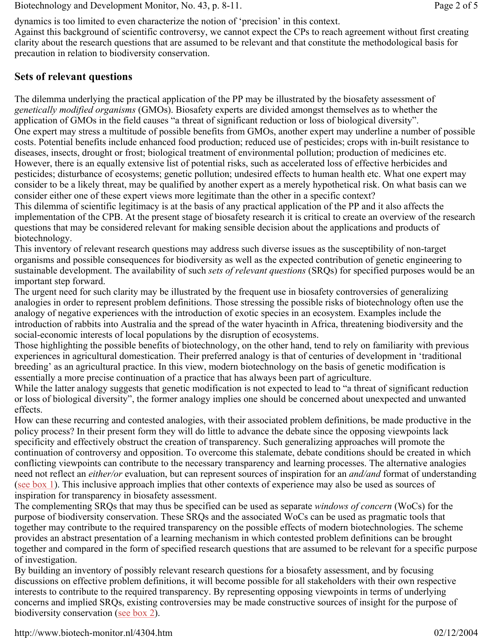Biotechnology and Development Monitor, No. 43, p. 8-11. Page 2 of 5

dynamics is too limited to even characterize the notion of 'precision' in this context.

Against this background of scientific controversy, we cannot expect the CPs to reach agreement without first creating clarity about the research questions that are assumed to be relevant and that constitute the methodological basis for precaution in relation to biodiversity conservation.

### **Sets of relevant questions**

The dilemma underlying the practical application of the PP may be illustrated by the biosafety assessment of *genetically modified organisms* (GMOs). Biosafety experts are divided amongst themselves as to whether the application of GMOs in the field causes "a threat of significant reduction or loss of biological diversity". One expert may stress a multitude of possible benefits from GMOs, another expert may underline a number of possible costs. Potential benefits include enhanced food production; reduced use of pesticides; crops with in-built resistance to diseases, insects, drought or frost; biological treatment of environmental pollution; production of medicines etc. However, there is an equally extensive list of potential risks, such as accelerated loss of effective herbicides and pesticides; disturbance of ecosystems; genetic pollution; undesired effects to human health etc. What one expert may consider to be a likely threat, may be qualified by another expert as a merely hypothetical risk. On what basis can we consider either one of these expert views more legitimate than the other in a specific context?

This dilemma of scientific legitimacy is at the basis of any practical application of the PP and it also affects the implementation of the CPB. At the present stage of biosafety research it is critical to create an overview of the research questions that may be considered relevant for making sensible decision about the applications and products of biotechnology.

This inventory of relevant research questions may address such diverse issues as the susceptibility of non-target organisms and possible consequences for biodiversity as well as the expected contribution of genetic engineering to sustainable development. The availability of such *sets of relevant questions* (SRQs) for specified purposes would be an important step forward.

The urgent need for such clarity may be illustrated by the frequent use in biosafety controversies of generalizing analogies in order to represent problem definitions. Those stressing the possible risks of biotechnology often use the analogy of negative experiences with the introduction of exotic species in an ecosystem. Examples include the introduction of rabbits into Australia and the spread of the water hyacinth in Africa, threatening biodiversity and the social-economic interests of local populations by the disruption of ecosystems.

Those highlighting the possible benefits of biotechnology, on the other hand, tend to rely on familiarity with previous experiences in agricultural domestication. Their preferred analogy is that of centuries of development in 'traditional breeding' as an agricultural practice. In this view, modern biotechnology on the basis of genetic modification is essentially a more precise continuation of a practice that has always been part of agriculture.

While the latter analogy suggests that genetic modification is not expected to lead to "a threat of significant reduction or loss of biological diversity", the former analogy implies one should be concerned about unexpected and unwanted effects.

How can these recurring and contested analogies, with their associated problem definitions, be made productive in the policy process? In their present form they will do little to advance the debate since the opposing viewpoints lack specificity and effectively obstruct the creation of transparency. Such generalizing approaches will promote the continuation of controversy and opposition. To overcome this stalemate, debate conditions should be created in which conflicting viewpoints can contribute to the necessary transparency and learning processes. The alternative analogies need not reflect an *either/or* evaluation, but can represent sources of inspiration for an *and/and* format of understanding (see box 1). This inclusive approach implies that other contexts of experience may also be used as sources of inspiration for transparency in biosafety assessment.

The complementing SRQs that may thus be specified can be used as separate *windows of concern* (WoCs) for the purpose of biodiversity conservation. These SRQs and the associated WoCs can be used as pragmatic tools that together may contribute to the required transparency on the possible effects of modern biotechnologies. The scheme provides an abstract presentation of a learning mechanism in which contested problem definitions can be brought together and compared in the form of specified research questions that are assumed to be relevant for a specific purpose of investigation.

By building an inventory of possibly relevant research questions for a biosafety assessment, and by focusing discussions on effective problem definitions, it will become possible for all stakeholders with their own respective interests to contribute to the required transparency. By representing opposing viewpoints in terms of underlying concerns and implied SRQs, existing controversies may be made constructive sources of insight for the purpose of biodiversity conservation (see box 2).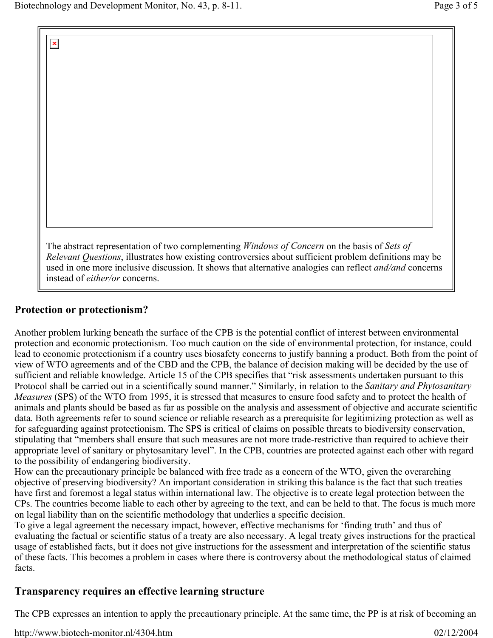$\pmb{\times}$ 

The abstract representation of two complementing *Windows of Concern* on the basis of *Sets of Relevant Questions*, illustrates how existing controversies about sufficient problem definitions may be used in one more inclusive discussion. It shows that alternative analogies can reflect *and/and* concerns instead of *either/or* concerns.

## **Protection or protectionism?**

Another problem lurking beneath the surface of the CPB is the potential conflict of interest between environmental protection and economic protectionism. Too much caution on the side of environmental protection, for instance, could lead to economic protectionism if a country uses biosafety concerns to justify banning a product. Both from the point of view of WTO agreements and of the CBD and the CPB, the balance of decision making will be decided by the use of sufficient and reliable knowledge. Article 15 of the CPB specifies that "risk assessments undertaken pursuant to this Protocol shall be carried out in a scientifically sound manner." Similarly, in relation to the *Sanitary and Phytosanitary Measures* (SPS) of the WTO from 1995, it is stressed that measures to ensure food safety and to protect the health of animals and plants should be based as far as possible on the analysis and assessment of objective and accurate scientific data. Both agreements refer to sound science or reliable research as a prerequisite for legitimizing protection as well as for safeguarding against protectionism. The SPS is critical of claims on possible threats to biodiversity conservation, stipulating that "members shall ensure that such measures are not more trade-restrictive than required to achieve their appropriate level of sanitary or phytosanitary level". In the CPB, countries are protected against each other with regard to the possibility of endangering biodiversity.

How can the precautionary principle be balanced with free trade as a concern of the WTO, given the overarching objective of preserving biodiversity? An important consideration in striking this balance is the fact that such treaties have first and foremost a legal status within international law. The objective is to create legal protection between the CPs. The countries become liable to each other by agreeing to the text, and can be held to that. The focus is much more on legal liability than on the scientific methodology that underlies a specific decision.

To give a legal agreement the necessary impact, however, effective mechanisms for 'finding truth' and thus of evaluating the factual or scientific status of a treaty are also necessary. A legal treaty gives instructions for the practical usage of established facts, but it does not give instructions for the assessment and interpretation of the scientific status of these facts. This becomes a problem in cases where there is controversy about the methodological status of claimed facts.

#### **Transparency requires an effective learning structure**

The CPB expresses an intention to apply the precautionary principle. At the same time, the PP is at risk of becoming an

http://www.biotech-monitor.nl/4304.htm 02/12/2004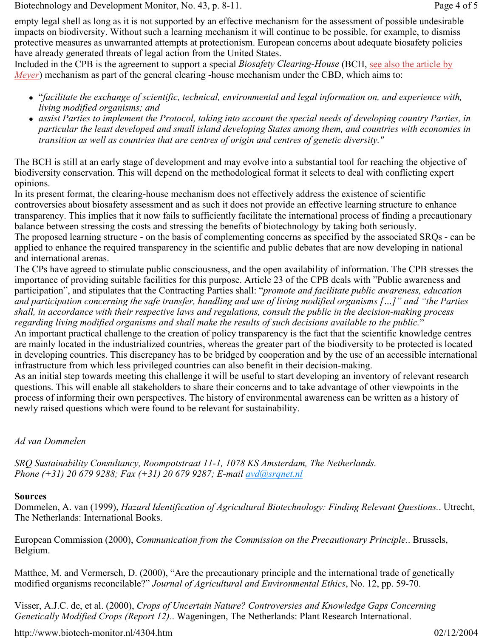Biotechnology and Development Monitor, No. 43, p. 8-11. Page 4 of 5

empty legal shell as long as it is not supported by an effective mechanism for the assessment of possible undesirable impacts on biodiversity. Without such a learning mechanism it will continue to be possible, for example, to dismiss protective measures as unwarranted attempts at protectionism. European concerns about adequate biosafety policies have already generated threats of legal action from the United States.

Included in the CPB is the agreement to support a special *Biosafety Clearing-House* (BCH, see also the article by *Meyer*) mechanism as part of the general clearing -house mechanism under the CBD, which aims to:

- <sup>z</sup> "*facilitate the exchange of scientific, technical, environmental and legal information on, and experience with, living modified organisms; and*
- assist Parties to implement the Protocol, taking into account the special needs of developing country Parties, in *particular the least developed and small island developing States among them, and countries with economies in transition as well as countries that are centres of origin and centres of genetic diversity."*

The BCH is still at an early stage of development and may evolve into a substantial tool for reaching the objective of biodiversity conservation. This will depend on the methodological format it selects to deal with conflicting expert opinions.

In its present format, the clearing-house mechanism does not effectively address the existence of scientific controversies about biosafety assessment and as such it does not provide an effective learning structure to enhance transparency. This implies that it now fails to sufficiently facilitate the international process of finding a precautionary balance between stressing the costs and stressing the benefits of biotechnology by taking both seriously. The proposed learning structure - on the basis of complementing concerns as specified by the associated SRQs - can be applied to enhance the required transparency in the scientific and public debates that are now developing in national and international arenas.

The CPs have agreed to stimulate public consciousness, and the open availability of information. The CPB stresses the importance of providing suitable facilities for this purpose. Article 23 of the CPB deals with "Public awareness and participation", and stipulates that the Contracting Parties shall: "*promote and facilitate public awareness, education and participation concerning the safe transfer, handling and use of living modified organisms […]" and "the Parties shall, in accordance with their respective laws and regulations, consult the public in the decision-making process regarding living modified organisms and shall make the results of such decisions available to the public.*"

An important practical challenge to the creation of policy transparency is the fact that the scientific knowledge centres are mainly located in the industrialized countries, whereas the greater part of the biodiversity to be protected is located in developing countries. This discrepancy has to be bridged by cooperation and by the use of an accessible international infrastructure from which less privileged countries can also benefit in their decision-making.

As an initial step towards meeting this challenge it will be useful to start developing an inventory of relevant research questions. This will enable all stakeholders to share their concerns and to take advantage of other viewpoints in the process of informing their own perspectives. The history of environmental awareness can be written as a history of newly raised questions which were found to be relevant for sustainability.

#### *Ad van Dommelen*

*SRQ Sustainability Consultancy, Roompotstraat 11-1, 1078 KS Amsterdam, The Netherlands. Phone (+31) 20 679 9288; Fax (+31) 20 679 9287; E-mail avd@srqnet.nl*

#### **Sources**

Dommelen, A. van (1999), *Hazard Identification of Agricultural Biotechnology: Finding Relevant Questions.*. Utrecht, The Netherlands: International Books.

European Commission (2000), *Communication from the Commission on the Precautionary Principle.*. Brussels, Belgium.

Matthee, M. and Vermersch, D. (2000), "Are the precautionary principle and the international trade of genetically modified organisms reconcilable?" *Journal of Agricultural and Environmental Ethics*, No. 12, pp. 59-70.

Visser, A.J.C. de, et al. (2000), *Crops of Uncertain Nature? Controversies and Knowledge Gaps Concerning Genetically Modified Crops (Report 12).*. Wageningen, The Netherlands: Plant Research International.

http://www.biotech-monitor.nl/4304.htm 02/12/2004